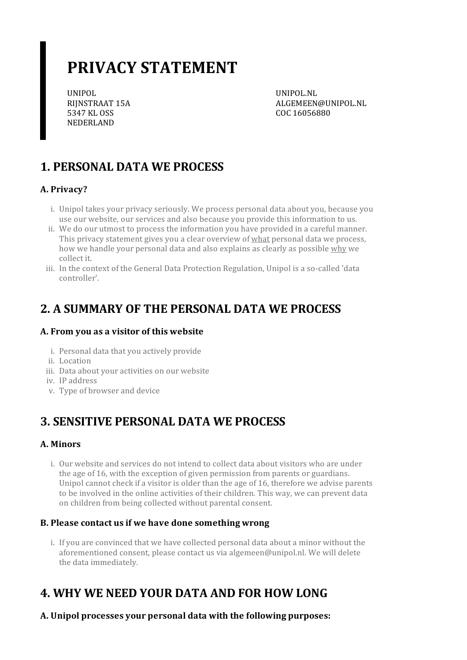# **PRIVACY STATEMENT**

UNIPOL RIJNSTRAAT 15A 5347 KL OSS NEDERLAND

UNIPOL.NL ALGEMEEN@UNIPOL.NL COC 16056880

# **1. PERSONAL DATA WE PROCESS**

### **A. Privacy?**

- i. Unipol takes your privacy seriously. We process personal data about you, because you use our website, our services and also because you provide this information to us.
- ii. We do our utmost to process the information you have provided in a careful manner. This privacy statement gives you a clear overview of what personal data we process, how we handle your personal data and also explains as clearly as possible why we collect it.
- iii. In the context of the General Data Protection Regulation, Unipol is a so-called 'data controller'.

### **2. A SUMMARY OF THE PERSONAL DATA WE PROCESS**

### **A. From you as a visitor of this website**

- i. Personal data that you actively provide
- ii. Location
- iii. Data about your activities on our website
- iv. IP address
- v. Type of browser and device

### **3. SENSITIVE PERSONAL DATA WE PROCESS**

### **A. Minors**

i. Our website and services do not intend to collect data about visitors who are under the age of 16, with the exception of given permission from parents or guardians. Unipol cannot check if a visitor is older than the age of 16, therefore we advise parents to be involved in the online activities of their children. This way, we can prevent data on children from being collected without parental consent.

#### **B. Please contact usif we have done somethingwrong**

i. If you are convinced that we have collected personal data about a minor without the aforementioned consent, please contact us via algemeen@unipol.nl. We will delete the data immediately.

# **4. WHY WE NEED YOUR DATA AND FOR HOW LONG**

**A. Unipol processes your personal data with the following purposes:**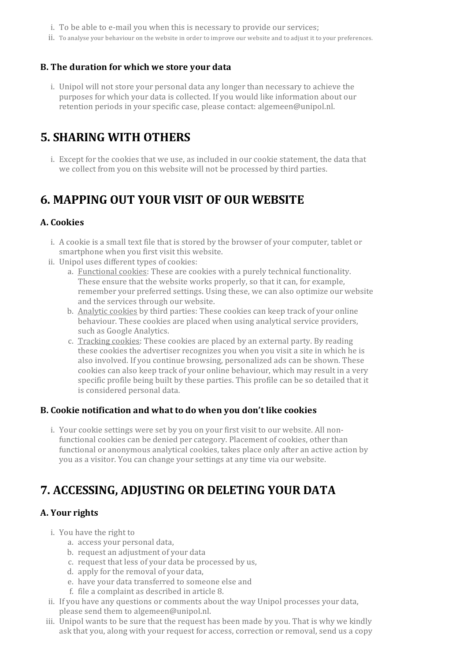- i. To be able to e-mail you when this is necessary to provide our services;
- ii. To analyse your behaviour on the website in order to improve our website and to adjust it to your preferences.

#### **B. The duration for which we store your data**

i. Unipol will not store your personal data any longerthan necessary to achieve the purposes for which your data is collected. If you would like information about our retention periods in your specific case, please contact: algemeen@unipol.nl.

### **5. SHARING WITH OTHERS**

i. Except for the cookies that we use, as included in our cookie statement, the data that we collect from you on this website will not be processed by third parties.

### **6. MAPPING OUT YOUR VISIT OF OUR WEBSITE**

#### **A. Cookies**

- i. A cookie is a small text file that is stored by the browser of your computer, tablet or smartphone when you first visit this website.
- ii. Unipol uses different types of cookies:
	- a. Functional cookies: These are cookies with a purely technical functionality. These ensure that the website works properly, so that it can, for example, remember your preferred settings. Using these, we can also optimize our website and the services through our website.
	- b. Analytic cookies by third parties: These cookies can keep track of your online behaviour. These cookies are placed when using analytical service providers, such as Google Analytics.
	- c. Tracking cookies: These cookies are placed by an external party. By reading these cookies the advertiser recognizes you when you visit a site in which he is also involved. If you continue browsing, personalized ads can be shown. These cookies can also keep track of your online behaviour, which may result in a very specific profile being built by these parties. This profile can be so detailed that it is considered personal data.

#### **B. Cookie notification and what to do when you don't like cookies**

i. Your cookie settings were set by you on your first visit to our website. All nonfunctional cookies can be denied per category. Placement of cookies, other than functional or anonymous analytical cookies, takes place only after an active action by you as a visitor. You can change yoursettings at any time via our website.

### **7. ACCESSING, ADJUSTING OR DELETING YOUR DATA**

#### **A.** Your rights

- i. You have the right to
	- a. access your personal data,
	- b. request an adjustment of your data
	- c. request that less of your data be processed by us,
	- d. apply for the removal of your data,
	- e. have your data transferred to someone else and
	- f. file a complaint as described in article 8.
- ii. If you have any questions or comments about the way Unipol processes your data, please send them to algemeen@unipol.nl.
- iii. Unipol wants to be sure that the request has been made by you. That is why we kindly ask that you, along with your request for access, correction or removal, send us a copy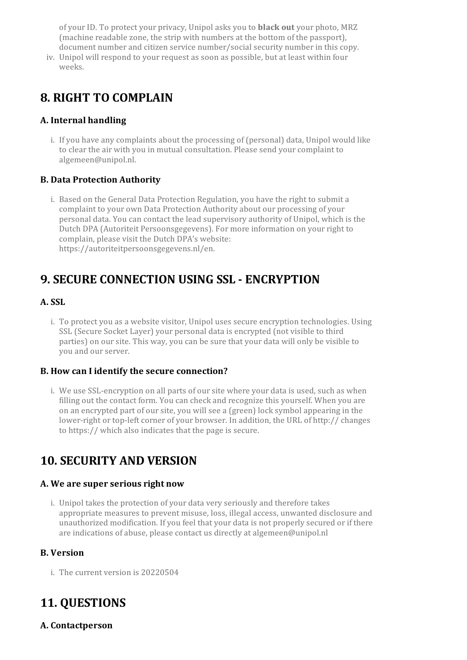of yourID. To protect your privacy, Unipol asks you to **black out** your photo, MRZ (machine readable zone, the strip with numbers at the bottom of the passport), document number and citizen service number/social security number in this copy.

iv. Unipol will respond to your request as soon as possible, but at least within four weeks.

## **8. RIGHT TO COMPLAIN**

### **A. Internal handling**

i. If you have any complaints about the processing of (personal) data, Unipol would like to clear the air with you in mutual consultation. Please send your complaint to algemeen@unipol.nl.

### **B. Data Protection Authority**

i. Based on the General Data Protection Regulation, you have the right to submit a complaint to your own Data Protection Authority about our processing of your personal data. You can contact the lead supervisory authority of Unipol, which is the Dutch DPA (Autoriteit Persoonsgegevens). For more information on your right to complain, please visit the Dutch DPA's website: https://autoriteitpersoonsgegevens.nl/en.

# **9. SECURE CONNECTION USING SSL - ENCRYPTION**

### **A. SSL**

i. To protect you as a website visitor, Unipol uses secure encryption technologies. Using SSL (Secure Socket Layer) your personal data is encrypted (not visible to third parties) on oursite. This way, you can be sure that your data will only be visible to you and our server.

### **B. How can I identify the secure connection?**

i. We use SSL-encryption on all parts of our site where your data is used, such as when filling out the contact form. You can check and recognize this yourself. When you are on an encrypted part of our site, you will see a (green) lock symbol appearing in the lower-right ortop-left corner of your browser. In addition, the URL of http:// changes to https:// which also indicates that the page is secure.

### **10. SECURITY AND VERSION**

#### **A. We are superseriousright now**

i. Unipol takes the protection of your data very seriously and therefore takes appropriate measures to prevent misuse, loss, illegal access, unwanted disclosure and unauthorized modification. If you feel that your data is not properly secured orif there are indications of abuse, please contact us directly at algemeen@unipol.nl

### **B. Version**

i. The current version is 20220504

# **11. QUESTIONS**

**A. Contactperson**